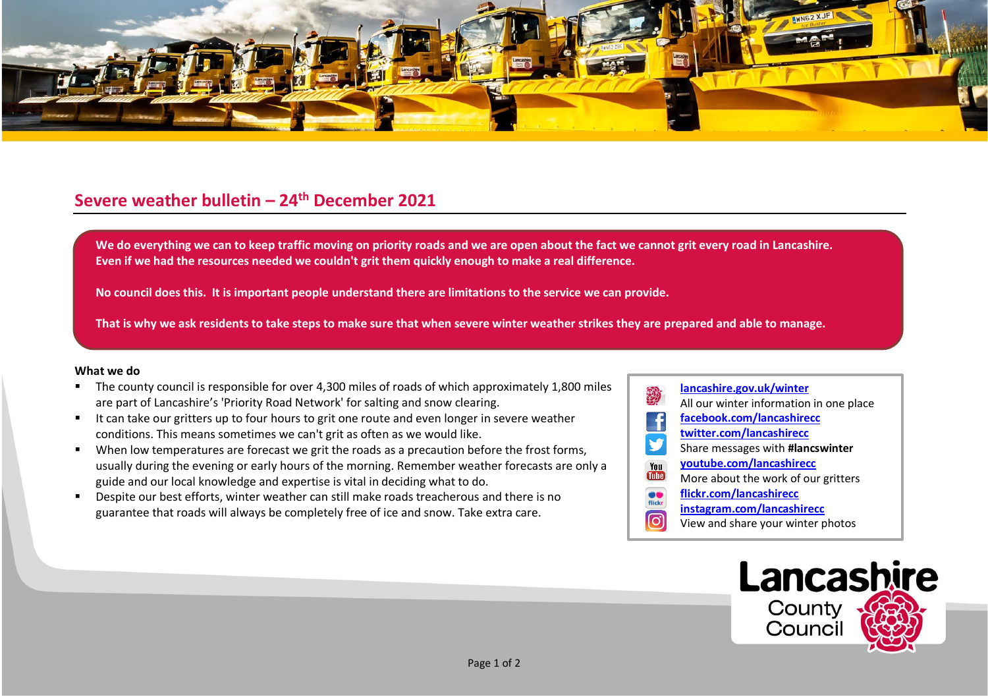

## **Severe weather bulletin – 24th December 2021**

**We do everything we can to keep traffic moving on priority roads and we are open about the fact we cannot grit every road in Lancashire. Even if we had the resources needed we couldn't grit them quickly enough to make a real difference.**

**No council does this. It is important people understand there are limitations to the service we can provide.**

**That is why we ask residents to take steps to make sure that when severe winter weather strikes they are prepared and able to manage.**

## **What we do**

- The county council is responsible for over 4,300 miles of roads of which approximately 1,800 miles are part of Lancashire's 'Priority Road Network' for salting and snow clearing.
- It can take our gritters up to four hours to grit one route and even longer in severe weather conditions. This means sometimes we can't grit as often as we would like.
- When low temperatures are forecast we grit the roads as a precaution before the frost forms, usually during the evening or early hours of the morning. Remember weather forecasts are only a guide and our local knowledge and expertise is vital in deciding what to do.
- Despite our best efforts, winter weather can still make roads treacherous and there is no guarantee that roads will always be completely free of ice and snow. Take extra care.

## **[lancashire.gov.uk/winter](http://www.lancashire.gov.uk/winter)** All our winter information in one place **[facebook.com/lancashirecc](http://www.facebook.com/lancashirecc) [twitter.com/lancashirecc](http://www.twitter.com/lancashirecc) y** Share messages with **#lancswinter [youtube.com/lancashirecc](http://www.youtube.com/lancashirecc)** You **Tube** More about the work of our gritters  $\bullet$ **[flickr.com/lancashirecc](http://www.flickr.com/lancashirecc)** flickr **[instagram.com/lancashirecc](http://www.instagram.com/lancashirecc)** <u>ြဝ</u> View and share your winter photos